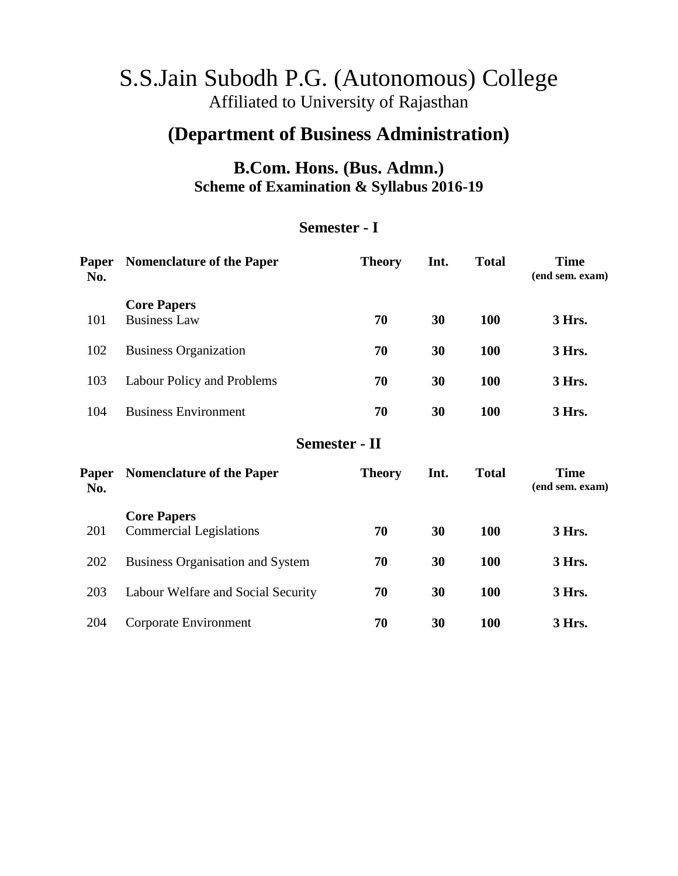# S.S.Jain Subodh P.G. (Autonomous) College Affiliated to University of Rajasthan

# **(Department of Business Administration)**

# **B.Com. Hons. (Bus. Admn.) Scheme of Examination & Syllabus 2016-19**

## **Semester - I**

| Paper<br>No.        | <b>Nomenclature of the Paper</b>                     | <b>Theory</b>        | Int. | <b>Total</b> | <b>Time</b><br>(end sem. exam) |
|---------------------|------------------------------------------------------|----------------------|------|--------------|--------------------------------|
| 101                 | <b>Core Papers</b><br><b>Business Law</b>            | 70                   | 30   | 100          | 3 Hrs.                         |
| 102                 | <b>Business Organization</b>                         | 70                   | 30   | <b>100</b>   | 3 Hrs.                         |
| 103                 | Labour Policy and Problems                           | 70                   | 30   | <b>100</b>   | 3 Hrs.                         |
| 104                 | <b>Business Environment</b>                          | 70                   | 30   | <b>100</b>   | 3 Hrs.                         |
|                     |                                                      | <b>Semester - II</b> |      |              |                                |
| <b>Paper</b><br>No. | <b>Nomenclature of the Paper</b>                     | <b>Theory</b>        | Int. | <b>Total</b> | <b>Time</b><br>(end sem. exam) |
| 201                 | <b>Core Papers</b><br><b>Commercial Legislations</b> | 70                   | 30   | 100          | 3 Hrs.                         |
| 202                 | <b>Business Organisation and System</b>              | 70                   | 30   | 100          | 3 Hrs.                         |
| 203                 | Labour Welfare and Social Security                   | 70                   | 30   | 100          | 3 Hrs.                         |
| 204                 | Corporate Environment                                | 70                   | 30   | <b>100</b>   | 3 Hrs.                         |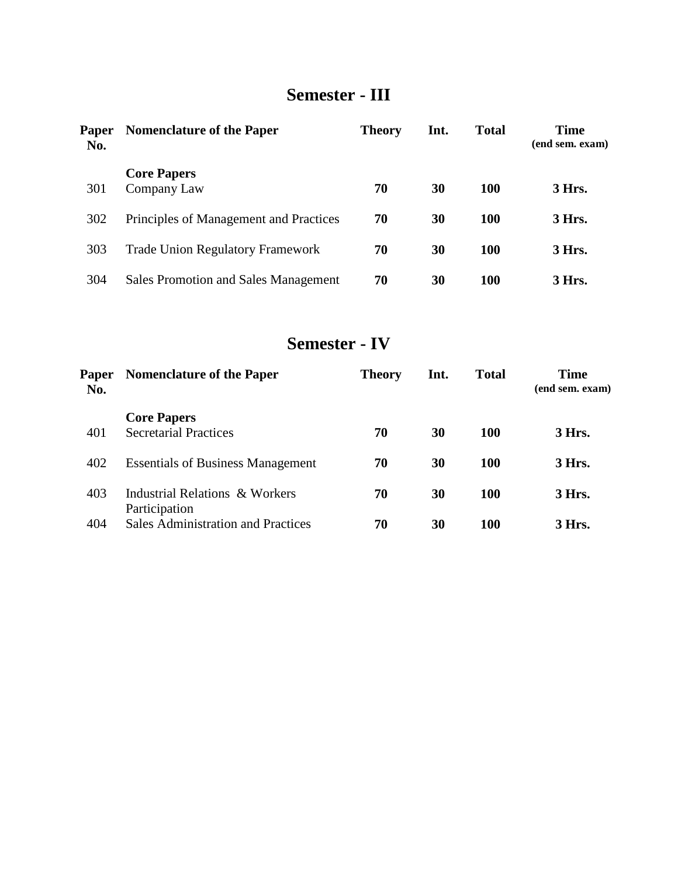# **Semester - III**

| <b>Paper</b><br>No. | <b>Nomenclature of the Paper</b>            | <b>Theory</b> | Int. | <b>Total</b> | <b>Time</b><br>(end sem. exam) |
|---------------------|---------------------------------------------|---------------|------|--------------|--------------------------------|
| 301                 | <b>Core Papers</b><br>Company Law           | 70            | 30   | <b>100</b>   | 3 Hrs.                         |
| 302                 | Principles of Management and Practices      | 70            | 30   | <b>100</b>   | 3 Hrs.                         |
| 303                 | <b>Trade Union Regulatory Framework</b>     | 70            | 30   | <b>100</b>   | 3 Hrs.                         |
| 304                 | <b>Sales Promotion and Sales Management</b> | 70            | 30   | <b>100</b>   | 3 Hrs.                         |

# **Semester - IV**

| Paper<br>No. | <b>Nomenclature of the Paper</b>                   | <b>Theory</b> | Int. | <b>Total</b> | <b>Time</b><br>(end sem. exam) |
|--------------|----------------------------------------------------|---------------|------|--------------|--------------------------------|
| 401          | <b>Core Papers</b><br><b>Secretarial Practices</b> | 70            | 30   | 100          | 3 Hrs.                         |
| 402          | <b>Essentials of Business Management</b>           | 70            | 30   | 100          | 3 Hrs.                         |
| 403          | Industrial Relations & Workers<br>Participation    | 70            | 30   | 100          | 3 Hrs.                         |
| 404          | <b>Sales Administration and Practices</b>          | 70            | 30   | 100          | 3 Hrs.                         |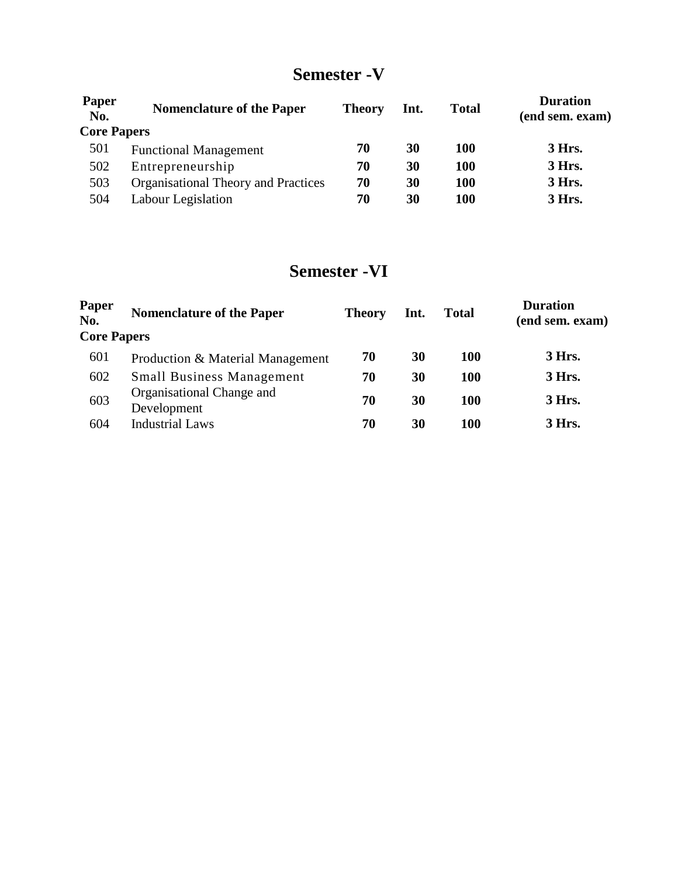# **Semester -V**

| <b>Paper</b><br>No. | <b>Nomenclature of the Paper</b>           | <b>Theory</b> | Int. | <b>Total</b> | <b>Duration</b><br>(end sem. exam) |
|---------------------|--------------------------------------------|---------------|------|--------------|------------------------------------|
| <b>Core Papers</b>  |                                            |               |      |              |                                    |
| 501                 | <b>Functional Management</b>               | 70            | 30   | <b>100</b>   | 3 Hrs.                             |
| 502                 | Entrepreneurship                           | 70            | 30   | <b>100</b>   | 3 Hrs.                             |
| 503                 | <b>Organisational Theory and Practices</b> | 70            | 30   | <b>100</b>   | 3 Hrs.                             |
| 504                 | Labour Legislation                         | 70            | 30   | 100          | 3 Hrs.                             |

# **Semester -VI**

| Paper<br>No.       | <b>Nomenclature of the Paper</b>         | <b>Theory</b> | Int. | <b>Total</b> | <b>Duration</b><br>(end sem. exam) |
|--------------------|------------------------------------------|---------------|------|--------------|------------------------------------|
| <b>Core Papers</b> |                                          |               |      |              |                                    |
| 601                | Production & Material Management         | 70            | 30   | <b>100</b>   | 3 Hrs.                             |
| 602                | <b>Small Business Management</b>         | 70            | 30   | <b>100</b>   | 3 Hrs.                             |
| 603                | Organisational Change and<br>Development | 70            | 30   | 100          | 3 Hrs.                             |
| 604                | <b>Industrial Laws</b>                   | 70            | 30   | 100          | 3 Hrs.                             |
|                    |                                          |               |      |              |                                    |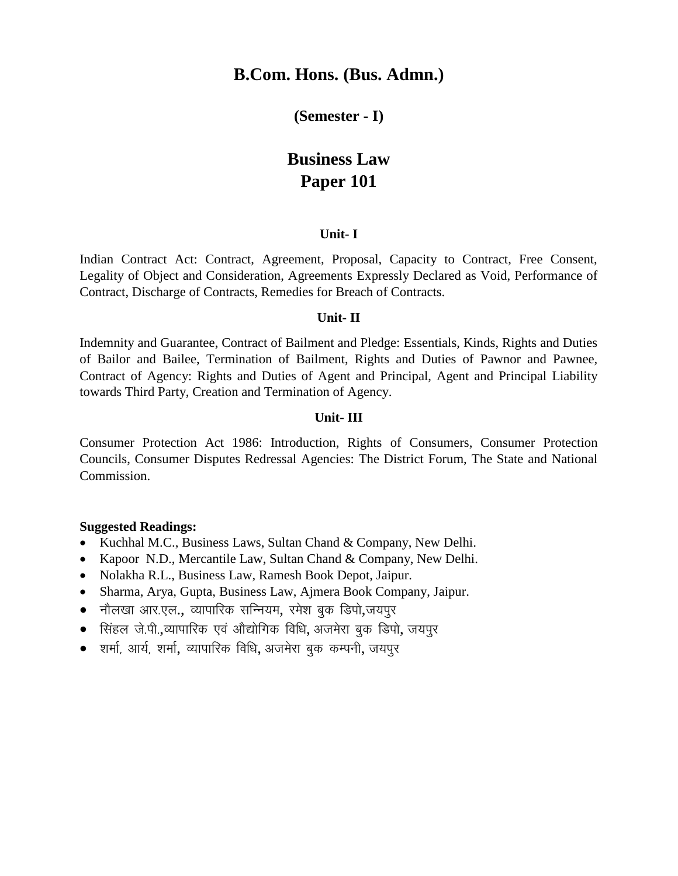### **(Semester - I)**

# **Business Law Paper 101**

### **Unit- I**

Indian Contract Act: Contract, Agreement, Proposal, Capacity to Contract, Free Consent, Legality of Object and Consideration, Agreements Expressly Declared as Void, Performance of Contract, Discharge of Contracts, Remedies for Breach of Contracts.

### **Unit- II**

Indemnity and Guarantee, Contract of Bailment and Pledge: Essentials, Kinds, Rights and Duties of Bailor and Bailee, Termination of Bailment, Rights and Duties of Pawnor and Pawnee, Contract of Agency: Rights and Duties of Agent and Principal, Agent and Principal Liability towards Third Party, Creation and Termination of Agency.

### **Unit- III**

Consumer Protection Act 1986: Introduction, Rights of Consumers, Consumer Protection Councils, Consumer Disputes Redressal Agencies: The District Forum, The State and National Commission.

- Kuchhal M.C., Business Laws, Sultan Chand & Company, New Delhi.
- Kapoor N.D., Mercantile Law, Sultan Chand & Company, New Delhi.
- Nolakha R.L., Business Law, Ramesh Book Depot, Jaipur.
- Sharma, Arya, Gupta, Business Law, Ajmera Book Company, Jaipur.
- $\bullet$  नौलखा आर.एल., व्यापारिक सन्नियम, रमेश बक डिपो,जयपुर
- $\bullet$  सिंहल जे.पी.,व्यापारिक एवं औद्योगिक विधि, अजमेरा बुक डिपो, जयपुर
- $\bullet$  शर्मा, आर्य, शर्मा, व्यापारिक विधि, अजमेरा बुक कम्पनी, जयपुर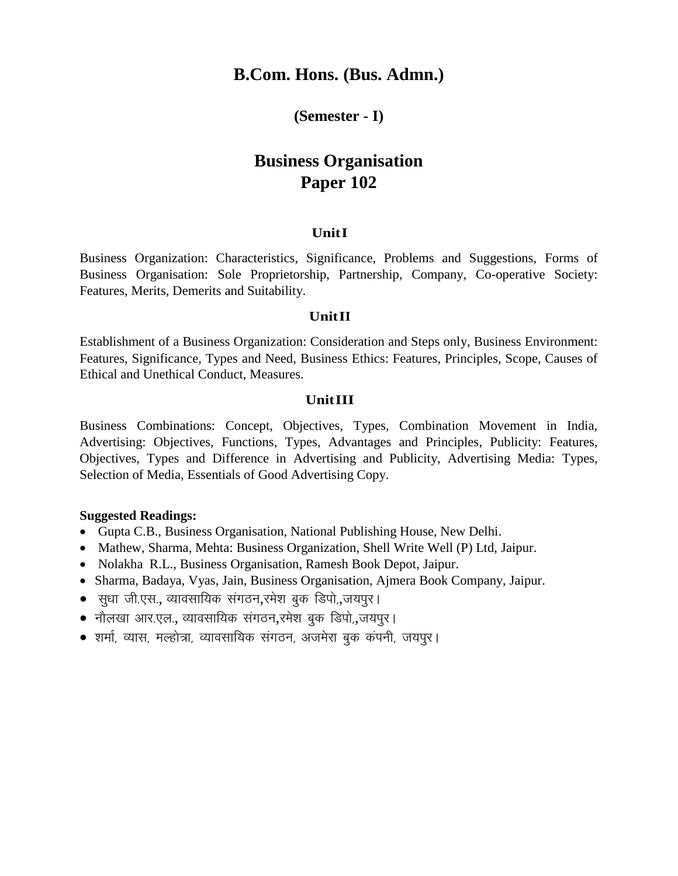### **(Semester - I)**

# **Business Organisation Paper 102**

### **UnitI**

Business Organization: Characteristics, Significance, Problems and Suggestions, Forms of Business Organisation: Sole Proprietorship, Partnership, Company, Co-operative Society: Features, Merits, Demerits and Suitability.

#### **UnitII**

Establishment of a Business Organization: Consideration and Steps only, Business Environment: Features, Significance, Types and Need, Business Ethics: Features, Principles, Scope, Causes of Ethical and Unethical Conduct, Measures.

### **UnitIII**

Business Combinations: Concept, Objectives, Types, Combination Movement in India, Advertising: Objectives, Functions, Types, Advantages and Principles, Publicity: Features, Objectives, Types and Difference in Advertising and Publicity, Advertising Media: Types, Selection of Media, Essentials of Good Advertising Copy.

- Gupta C.B., Business Organisation, National Publishing House, New Delhi.
- Mathew, Sharma, Mehta: Business Organization, Shell Write Well (P) Ltd, Jaipur.
- Nolakha R.L., Business Organisation, Ramesh Book Depot, Jaipur.
- Sharma, Badaya, Vyas, Jain, Business Organisation, Ajmera Book Company, Jaipur.
- सधा जी.एस., व्यावसायिक संगठन,रमेश बुक डिपो,,जयपूर।
- नौलखा आर.एल., व्यावसायिक संगठन,रमेश बुक डिपो,,जयपुर।
- $\bullet$  शर्मा, व्यास, मल्होत्रा, व्यावसायिक संगठन, अजमेरा बुक कंपनी, जयपुर।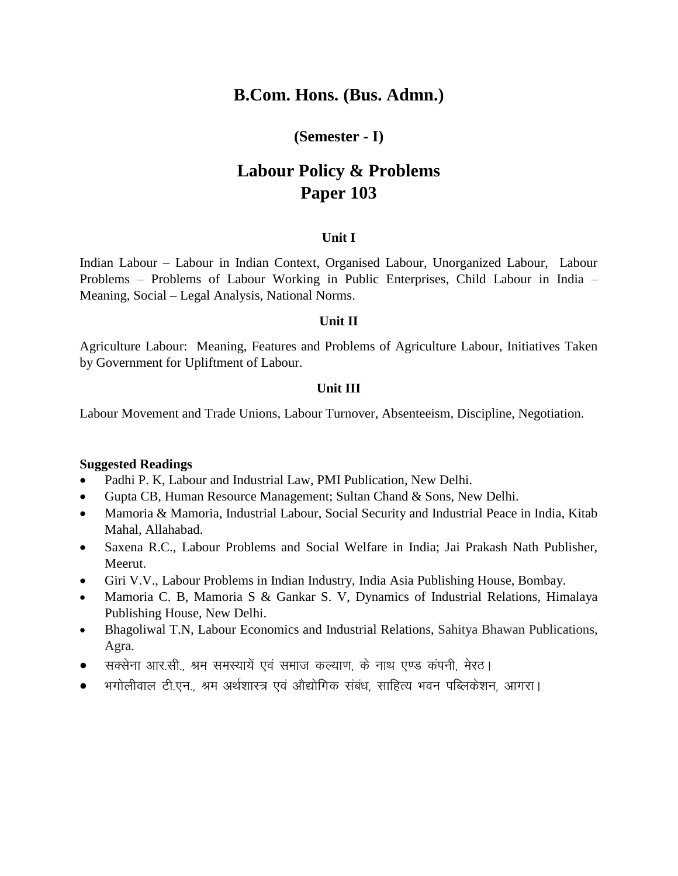### **(Semester - I)**

# **Labour Policy & Problems Paper 103**

### **Unit I**

Indian Labour – Labour in Indian Context, Organised Labour, Unorganized Labour, Labour Problems – Problems of Labour Working in Public Enterprises, Child Labour in India – Meaning, Social – Legal Analysis, National Norms.

### **Unit II**

Agriculture Labour: Meaning, Features and Problems of Agriculture Labour, Initiatives Taken by Government for Upliftment of Labour.

### **Unit III**

Labour Movement and Trade Unions, Labour Turnover, Absenteeism, Discipline, Negotiation.

- Padhi P. K, Labour and Industrial Law, PMI Publication, New Delhi.
- Gupta CB, Human Resource Management; Sultan Chand & Sons, New Delhi.
- Mamoria & Mamoria, Industrial Labour, Social Security and Industrial Peace in India, Kitab Mahal, Allahabad.
- Saxena R.C., Labour Problems and Social Welfare in India; Jai Prakash Nath Publisher, Meerut.
- Giri V.V., Labour Problems in Indian Industry, India Asia Publishing House, Bombay.
- Mamoria C. B, Mamoria S & Gankar S. V, Dynamics of Industrial Relations, Himalaya Publishing House, New Delhi.
- Bhagoliwal T.N, Labour Economics and Industrial Relations, Sahitya Bhawan Publications, Agra.
- सक्सेना आर.सी., श्रम समस्यायें एवं समाज कल्याण, के नाथ एण्ड कंपनी, मेरठ।
- $\bullet$  ) भगोलीवाल टी.एन., श्रम अर्थशास्त्र एवं औद्योगिक संबंध, साहित्य भवन पब्लिकेशन, आगरा।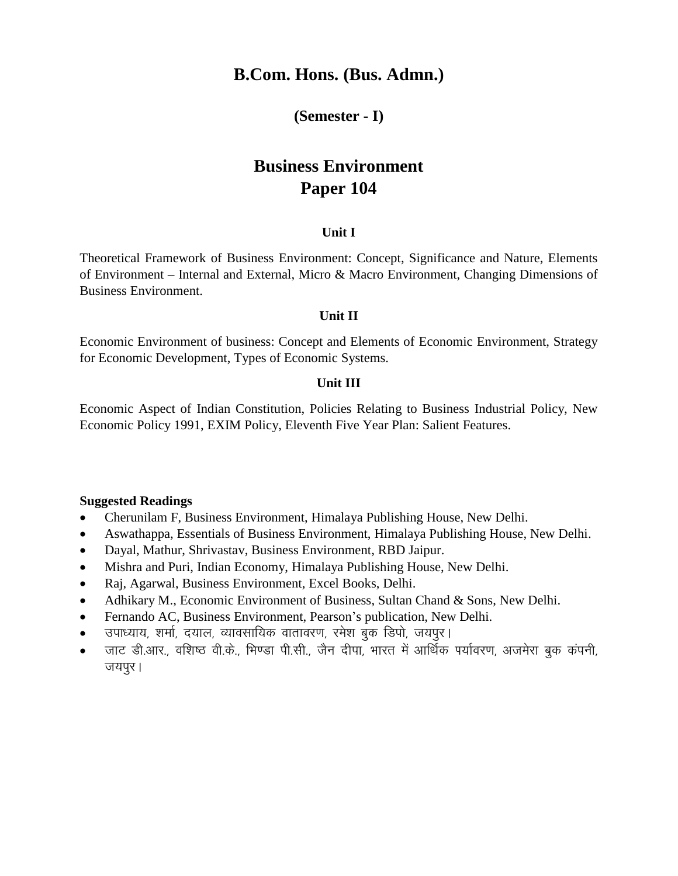### **(Semester - I)**

# **Business Environment Paper 104**

### **Unit I**

Theoretical Framework of Business Environment: Concept, Significance and Nature, Elements of Environment – Internal and External, Micro & Macro Environment, Changing Dimensions of Business Environment.

### **Unit II**

Economic Environment of business: Concept and Elements of Economic Environment, Strategy for Economic Development, Types of Economic Systems.

### **Unit III**

Economic Aspect of Indian Constitution, Policies Relating to Business Industrial Policy, New Economic Policy 1991, EXIM Policy, Eleventh Five Year Plan: Salient Features.

- Cherunilam F, Business Environment, Himalaya Publishing House, New Delhi.
- Aswathappa, Essentials of Business Environment, Himalaya Publishing House, New Delhi.
- Dayal, Mathur, Shrivastav, Business Environment, RBD Jaipur.
- Mishra and Puri, Indian Economy, Himalaya Publishing House, New Delhi.
- Raj, Agarwal, Business Environment, Excel Books, Delhi.
- Adhikary M., Economic Environment of Business, Sultan Chand & Sons, New Delhi.
- Fernando AC, Business Environment, Pearson's publication, New Delhi.
- उपाध्याय, शर्मा, दयाल, व्यावसायिक वातावरण, रमेश बुक डिपो, जयपुर।
- जाट डी.आर., वशिष्ठ वी.के., भिण्डा पी.सी., जैन दीपा, भारत में आर्थिक पर्यावरण, अजमेरा बक कंपनी, जयपूर।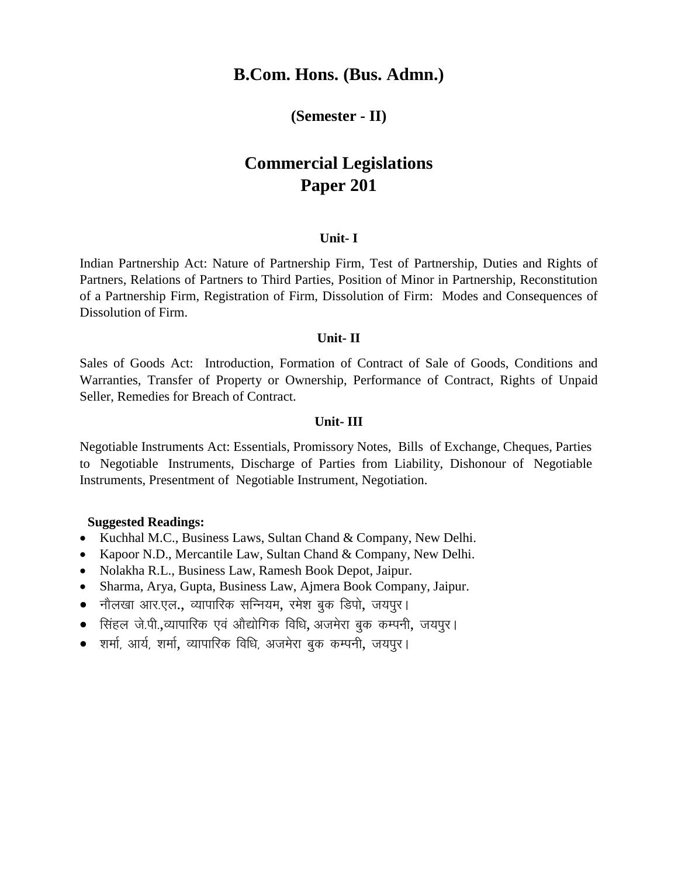### **(Semester - II)**

# **Commercial Legislations Paper 201**

### **Unit- I**

Indian Partnership Act: Nature of Partnership Firm, Test of Partnership, Duties and Rights of Partners, Relations of Partners to Third Parties, Position of Minor in Partnership, Reconstitution of a Partnership Firm, Registration of Firm, Dissolution of Firm: Modes and Consequences of Dissolution of Firm.

#### **Unit- II**

Sales of Goods Act: Introduction, Formation of Contract of Sale of Goods, Conditions and Warranties, Transfer of Property or Ownership, Performance of Contract, Rights of Unpaid Seller, Remedies for Breach of Contract.

### **Unit- III**

Negotiable Instruments Act: Essentials, Promissory Notes, Bills of Exchange, Cheques, Parties to Negotiable Instruments, Discharge of Parties from Liability, Dishonour of Negotiable Instruments, Presentment of Negotiable Instrument, Negotiation.

- Kuchhal M.C., Business Laws, Sultan Chand & Company, New Delhi.
- Kapoor N.D., Mercantile Law, Sultan Chand & Company, New Delhi.
- Nolakha R.L., Business Law, Ramesh Book Depot, Jaipur.
- Sharma, Arya, Gupta, Business Law, Ajmera Book Company, Jaipur.
- नौलखा आर.एल., व्यापारिक सन्नियम, रमेश बुक डिपो, जयपुर।
- सिंहल जे.पी.,व्यापारिक एवं औद्योगिक विधि. अजमेरा बुक कम्पनी. जयपुर।
- शर्मा, आर्य, शर्मा, व्यापारिक विधि, अजमेरा बुक कम्पनी, जयपुर।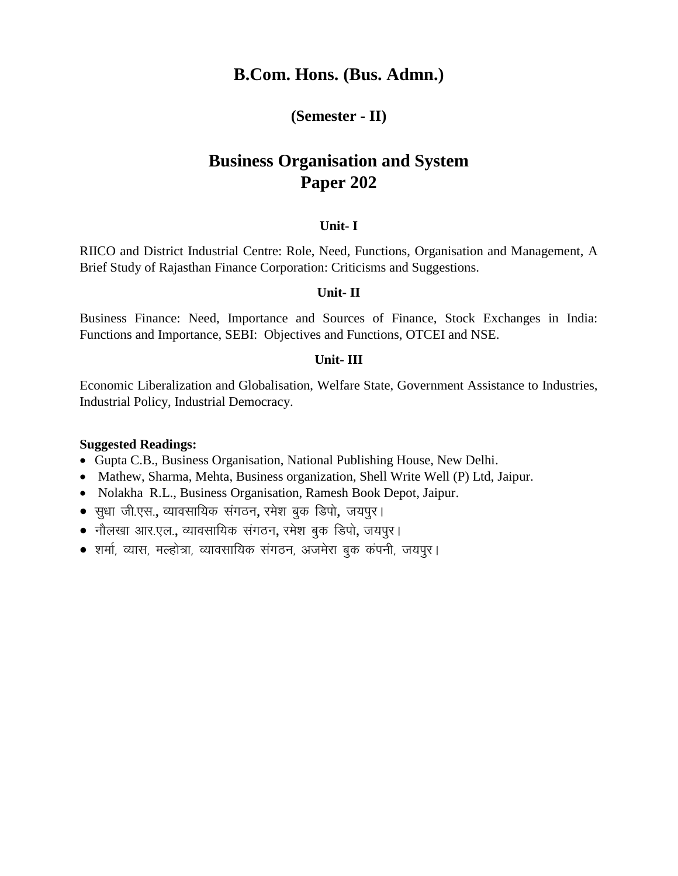### **(Semester - II)**

# **Business Organisation and System Paper 202**

### **Unit- I**

RIICO and District Industrial Centre: Role, Need, Functions, Organisation and Management, A Brief Study of Rajasthan Finance Corporation: Criticisms and Suggestions.

### **Unit- II**

Business Finance: Need, Importance and Sources of Finance, Stock Exchanges in India: Functions and Importance, SEBI: Objectives and Functions, OTCEI and NSE.

### **Unit- III**

Economic Liberalization and Globalisation, Welfare State, Government Assistance to Industries, Industrial Policy, Industrial Democracy.

- Gupta C.B., Business Organisation, National Publishing House, New Delhi.
- Mathew, Sharma, Mehta, Business organization, Shell Write Well (P) Ltd, Jaipur.
- Nolakha R.L., Business Organisation, Ramesh Book Depot, Jaipur.
- $\bullet$  सुधा जी.एस., व्यावसायिक संगठन, रमेश बुक डिपो, जयपूर।
- नौलखा आर.एल., व्यावसायिक संगठन, रमेश बुक डिपो, जयपुर।
- शर्मा, व्यास, मल्होत्रा, व्यावसायिक संगठन, अजमेरा बुक कंपनी, जयपूर।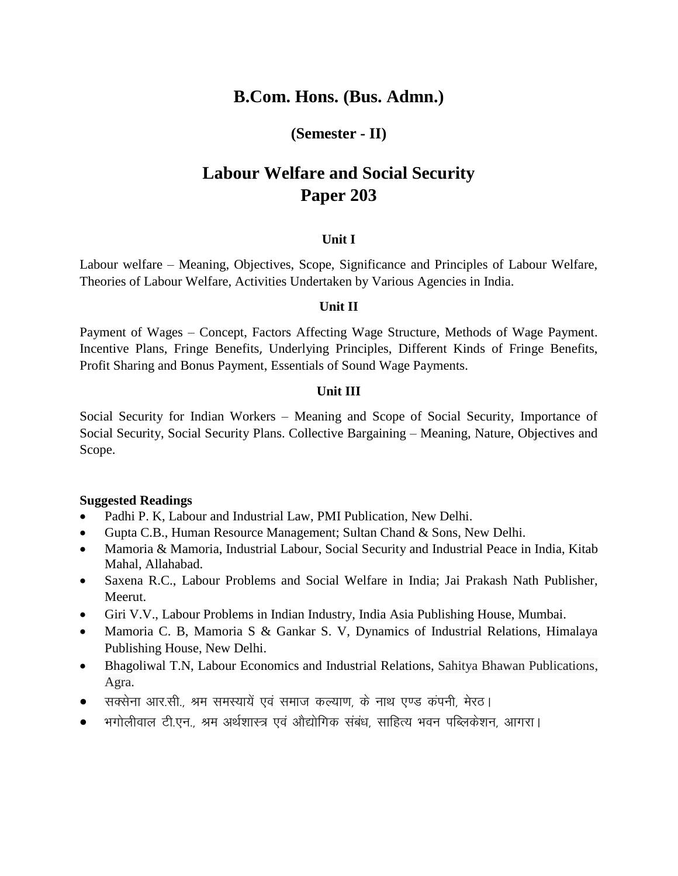### **(Semester - II)**

# **Labour Welfare and Social Security Paper 203**

### **Unit I**

Labour welfare – Meaning, Objectives, Scope, Significance and Principles of Labour Welfare, Theories of Labour Welfare, Activities Undertaken by Various Agencies in India.

### **Unit II**

Payment of Wages – Concept, Factors Affecting Wage Structure, Methods of Wage Payment. Incentive Plans, Fringe Benefits, Underlying Principles, Different Kinds of Fringe Benefits, Profit Sharing and Bonus Payment, Essentials of Sound Wage Payments.

### **Unit III**

Social Security for Indian Workers – Meaning and Scope of Social Security, Importance of Social Security, Social Security Plans. Collective Bargaining – Meaning, Nature, Objectives and Scope.

- Padhi P. K, Labour and Industrial Law, PMI Publication, New Delhi.
- Gupta C.B., Human Resource Management; Sultan Chand & Sons, New Delhi.
- Mamoria & Mamoria, Industrial Labour, Social Security and Industrial Peace in India, Kitab Mahal, Allahabad.
- Saxena R.C., Labour Problems and Social Welfare in India; Jai Prakash Nath Publisher, Meerut.
- Giri V.V., Labour Problems in Indian Industry, India Asia Publishing House, Mumbai.
- Mamoria C. B, Mamoria S & Gankar S. V, Dynamics of Industrial Relations, Himalaya Publishing House, New Delhi.
- Bhagoliwal T.N, Labour Economics and Industrial Relations, Sahitya Bhawan Publications, Agra.
- सक्सेना आर.सी.. श्रम समस्यायें एवं समाज कल्याण, के नाथ एण्ड कंपनी, मेरठ।
- $\bullet$  ) भगोलीवाल टी.एन., श्रम अर्थशास्त्र एवं औद्योगिक संबंध, साहित्य भवन पब्लिकेशन, आगरा।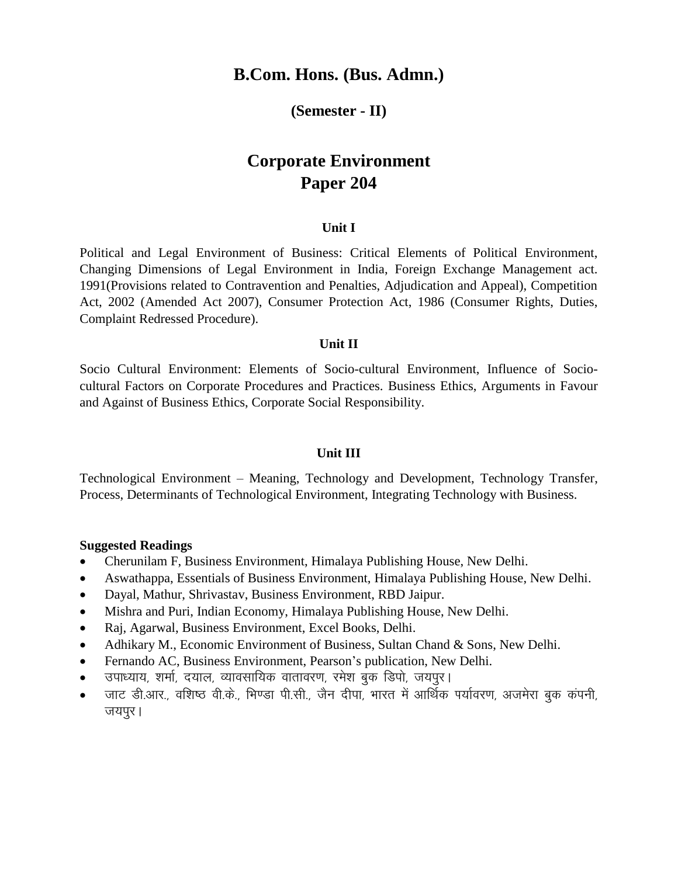### **(Semester - II)**

# **Corporate Environment Paper 204**

### **Unit I**

Political and Legal Environment of Business: Critical Elements of Political Environment, Changing Dimensions of Legal Environment in India, Foreign Exchange Management act. 1991(Provisions related to Contravention and Penalties, Adjudication and Appeal), Competition Act, 2002 (Amended Act 2007), Consumer Protection Act, 1986 (Consumer Rights, Duties, Complaint Redressed Procedure).

### **Unit II**

Socio Cultural Environment: Elements of Socio-cultural Environment, Influence of Sociocultural Factors on Corporate Procedures and Practices. Business Ethics, Arguments in Favour and Against of Business Ethics, Corporate Social Responsibility.

#### **Unit III**

Technological Environment – Meaning, Technology and Development, Technology Transfer, Process, Determinants of Technological Environment, Integrating Technology with Business.

- Cherunilam F, Business Environment, Himalaya Publishing House, New Delhi.
- Aswathappa, Essentials of Business Environment, Himalaya Publishing House, New Delhi.
- Dayal, Mathur, Shrivastav, Business Environment, RBD Jaipur.
- Mishra and Puri, Indian Economy, Himalaya Publishing House, New Delhi.
- Raj, Agarwal, Business Environment, Excel Books, Delhi.
- Adhikary M., Economic Environment of Business, Sultan Chand & Sons, New Delhi.
- Fernando AC, Business Environment, Pearson's publication, New Delhi.
- उपाध्याय, शर्मा, दयाल, व्यावसायिक वातावरण, रमेश बुक डिपो, जयपुर।
- जाट डी.आर., वशिष्ठ वी.के., भिण्डा पी.सी., जैन दीपा, भारत में आर्थिक पर्यावरण, अजमेरा बक कंपनी, जयपुर।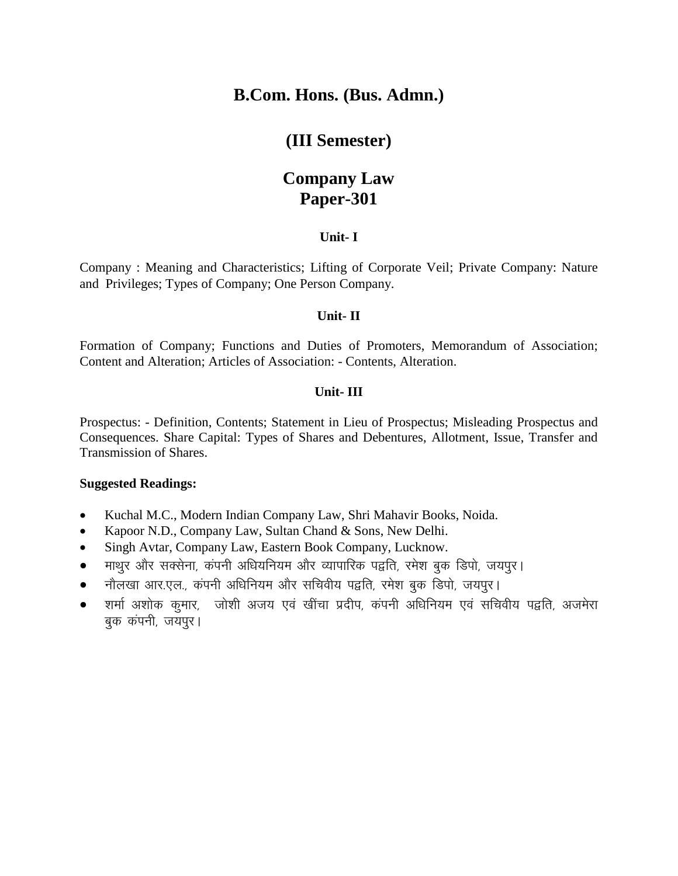## **(III Semester)**

# **Company Law Paper-301**

### **Unit- I**

Company : Meaning and Characteristics; Lifting of Corporate Veil; Private Company: Nature and Privileges; Types of Company; One Person Company.

### **Unit- II**

Formation of Company; Functions and Duties of Promoters, Memorandum of Association; Content and Alteration; Articles of Association: - Contents, Alteration.

### **Unit- III**

Prospectus: - Definition, Contents; Statement in Lieu of Prospectus; Misleading Prospectus and Consequences. Share Capital: Types of Shares and Debentures, Allotment, Issue, Transfer and Transmission of Shares.

- Kuchal M.C., Modern Indian Company Law, Shri Mahavir Books, Noida.
- Kapoor N.D., Company Law, Sultan Chand & Sons, New Delhi.
- Singh Avtar, Company Law, Eastern Book Company, Lucknow.
- माथुर और सक्सेना, कंपनी अधियनियम और व्यापारिक पद्वति, रमेश बुक डिपो, जयपुर।
- नौलखा आर.एल., कंपनी अधिनियम और सचिवीय पद्वति, रमेश बुक डिपो, जयपुर।
- $\bullet$  ) शर्मा अशोक कमार, , जोशी अजय एवं खींचा प्रदीप, कंपनी अधिनियम एवं सचिवीय पद्नति, अजमेरा बुक कंपनी, जयपुर।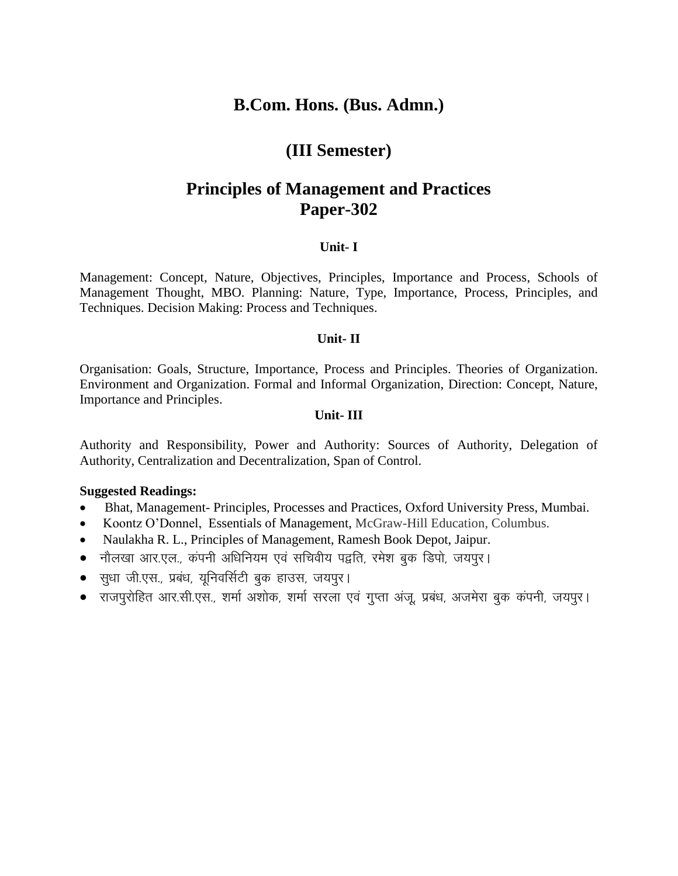## **(III Semester)**

# **Principles of Management and Practices Paper-302**

### **Unit- I**

Management: Concept, Nature, Objectives, Principles, Importance and Process, Schools of Management Thought, MBO. Planning: Nature, Type, Importance, Process, Principles, and Techniques. Decision Making: Process and Techniques.

### **Unit- II**

Organisation: Goals, Structure, Importance, Process and Principles. Theories of Organization. Environment and Organization. Formal and Informal Organization, Direction: Concept, Nature, Importance and Principles.

### **Unit- III**

Authority and Responsibility, Power and Authority: Sources of Authority, Delegation of Authority, Centralization and Decentralization, Span of Control.

- Bhat, Management- Principles, Processes and Practices, Oxford University Press, Mumbai.
- Koontz O'Donnel, Essentials of Management, McGraw-Hill Education, Columbus.
- Naulakha R. L., Principles of Management, Ramesh Book Depot, Jaipur.
- नौलखा आर.एल., कंपनी अधिनियम एवं सचिवीय पद्वति, रमेश बुक डिपो, जयपुर।
- सुधा जी.एस., प्रबंध, यूनिवर्सिटी बुक हाउस, जयपुर।
- राजपुरोहित आर.सी.एस., शर्मा अशोक, शर्मा सरला एवं गुप्ता अंजू, प्रबंध, अजमेरा बुक कंपनी, जयपुर।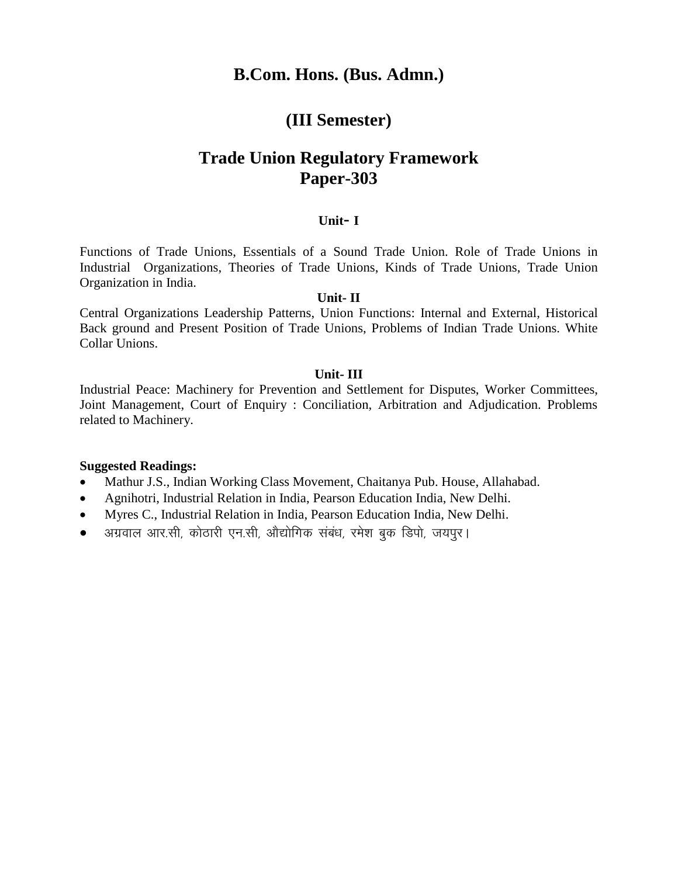## **(III Semester)**

# **Trade Union Regulatory Framework Paper-303**

### **Unit- I**

Functions of Trade Unions, Essentials of a Sound Trade Union. Role of Trade Unions in Industrial Organizations, Theories of Trade Unions, Kinds of Trade Unions, Trade Union Organization in India.

### **Unit- II**

Central Organizations Leadership Patterns, Union Functions: Internal and External, Historical Back ground and Present Position of Trade Unions, Problems of Indian Trade Unions. White Collar Unions.

### **Unit- III**

Industrial Peace: Machinery for Prevention and Settlement for Disputes, Worker Committees, Joint Management, Court of Enquiry : Conciliation, Arbitration and Adjudication. Problems related to Machinery.

- Mathur J.S., Indian Working Class Movement, Chaitanya Pub. House, Allahabad.
- Agnihotri, Industrial Relation in India, Pearson Education India, New Delhi.
- Myres C., Industrial Relation in India, Pearson Education India, New Delhi.
- $\bullet$  aप्रवाल आर.सी, कोठारी एन.सी, औद्योगिक संबंध, रमेश बुक डिपो, जयपुर।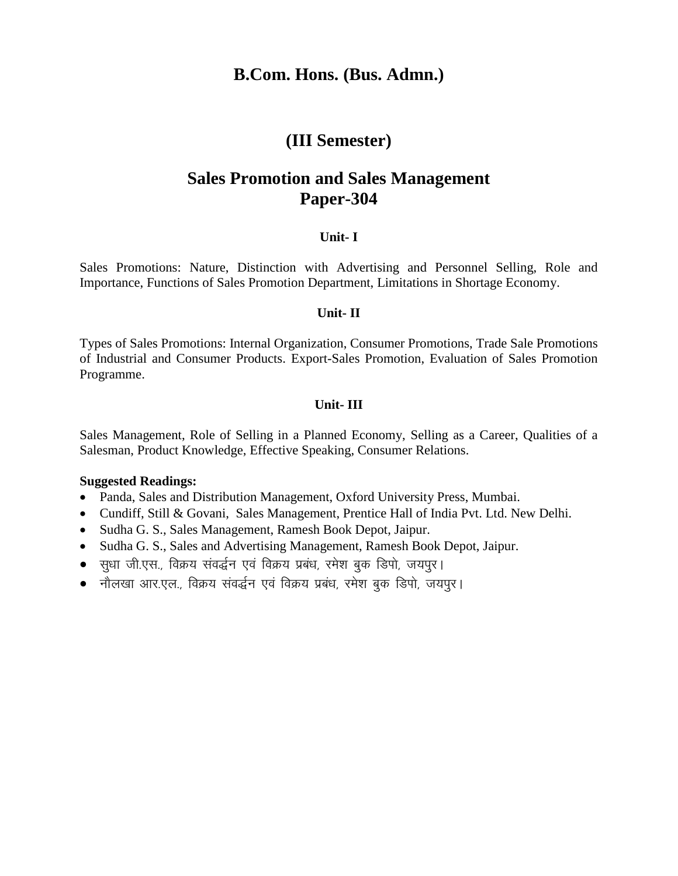### **(III Semester)**

# **Sales Promotion and Sales Management Paper-304**

### **Unit- I**

Sales Promotions: Nature, Distinction with Advertising and Personnel Selling, Role and Importance, Functions of Sales Promotion Department, Limitations in Shortage Economy.

### **Unit- II**

Types of Sales Promotions: Internal Organization, Consumer Promotions, Trade Sale Promotions of Industrial and Consumer Products. Export-Sales Promotion, Evaluation of Sales Promotion Programme.

### **Unit- III**

Sales Management, Role of Selling in a Planned Economy, Selling as a Career, Qualities of a Salesman, Product Knowledge, Effective Speaking, Consumer Relations.

- Panda, Sales and Distribution Management, Oxford University Press, Mumbai.
- Cundiff, Still & Govani, Sales Management, Prentice Hall of India Pvt. Ltd. New Delhi.
- Sudha G. S., Sales Management, Ramesh Book Depot, Jaipur.
- Sudha G. S., Sales and Advertising Management, Ramesh Book Depot, Jaipur.
- सुधा जी.एस., विक्रय संवर्द्धन एवं विक्रय प्रबंध, रमेश बुक डिपो, जयपुर।
- नौलखा आर.एल., विक्रय संवर्द्धन एवं विक्रय प्रबंध, रमेश बुक डिपो, जयपुर।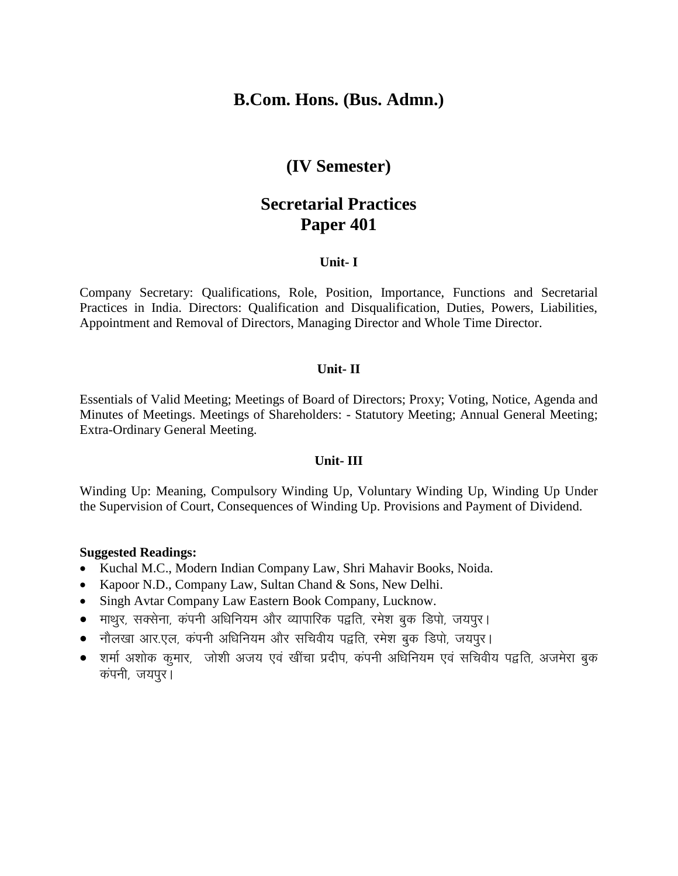## **(IV Semester)**

# **Secretarial Practices Paper 401**

### **Unit- I**

Company Secretary: Qualifications, Role, Position, Importance, Functions and Secretarial Practices in India. Directors: Qualification and Disqualification, Duties, Powers, Liabilities, Appointment and Removal of Directors, Managing Director and Whole Time Director.

### **Unit- II**

Essentials of Valid Meeting; Meetings of Board of Directors; Proxy; Voting, Notice, Agenda and Minutes of Meetings. Meetings of Shareholders: - Statutory Meeting; Annual General Meeting; Extra-Ordinary General Meeting.

#### **Unit- III**

Winding Up: Meaning, Compulsory Winding Up, Voluntary Winding Up, Winding Up Under the Supervision of Court, Consequences of Winding Up. Provisions and Payment of Dividend.

- Kuchal M.C., Modern Indian Company Law, Shri Mahavir Books, Noida.
- Kapoor N.D., Company Law, Sultan Chand & Sons, New Delhi.
- Singh Avtar Company Law Eastern Book Company, Lucknow.
- माथुर, सक्सेना, कंपनी अधिनियम और व्यापारिक पद्वति, रमेश बुक डिपो, जयपुर।
- नौलखा आर.एल, कंपनी अधिनियम और सचिवीय पद्वति, रमेश बुक डिपो, जयपूर।
- $\bullet$  शर्मा अशोक कुमार, जोशी अजय एवं खींचा प्रदीप, कंपनी अधिनियम एवं सचिवीय पद्वति, अजमेरा बुक कंपनी, जयपुर।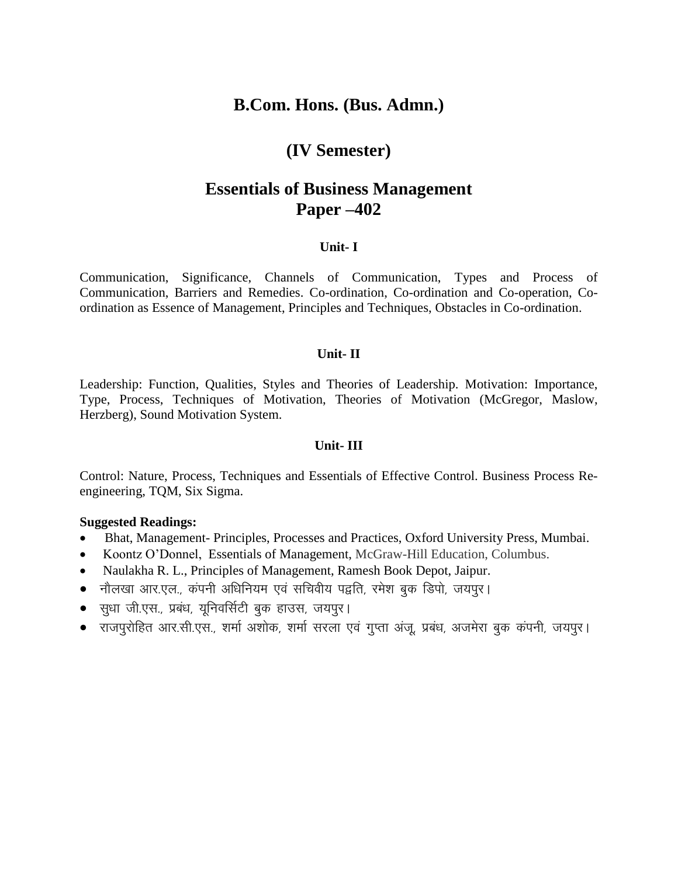## **(IV Semester)**

## **Essentials of Business Management Paper –402**

### **Unit- I**

Communication, Significance, Channels of Communication, Types and Process of Communication, Barriers and Remedies. Co-ordination, Co-ordination and Co-operation, Coordination as Essence of Management, Principles and Techniques, Obstacles in Co-ordination.

### **Unit- II**

Leadership: Function, Qualities, Styles and Theories of Leadership. Motivation: Importance, Type, Process, Techniques of Motivation, Theories of Motivation (McGregor, Maslow, Herzberg), Sound Motivation System.

### **Unit- III**

Control: Nature, Process, Techniques and Essentials of Effective Control. Business Process Reengineering, TQM, Six Sigma.

- Bhat, Management- Principles, Processes and Practices, Oxford University Press, Mumbai.
- Koontz O'Donnel, Essentials of Management, McGraw-Hill Education, Columbus.
- Naulakha R. L., Principles of Management, Ramesh Book Depot, Jaipur.
- नौलखा आर.एल., कंपनी अधिनियम एवं सचिवीय पद्वति, रमेश बुक डिपो, जयपुर।
- $\bullet$  सुधा जी.एस., प्रबंध, युनिवर्सिटी बुक हाउस, जयपुर।
- राजपूरोहित आर.सी.एस., शर्मा अशोक, शर्मा सरला एवं गुप्ता अंजू, प्रबंध, अजमेरा बुक कंपनी, जयपूर।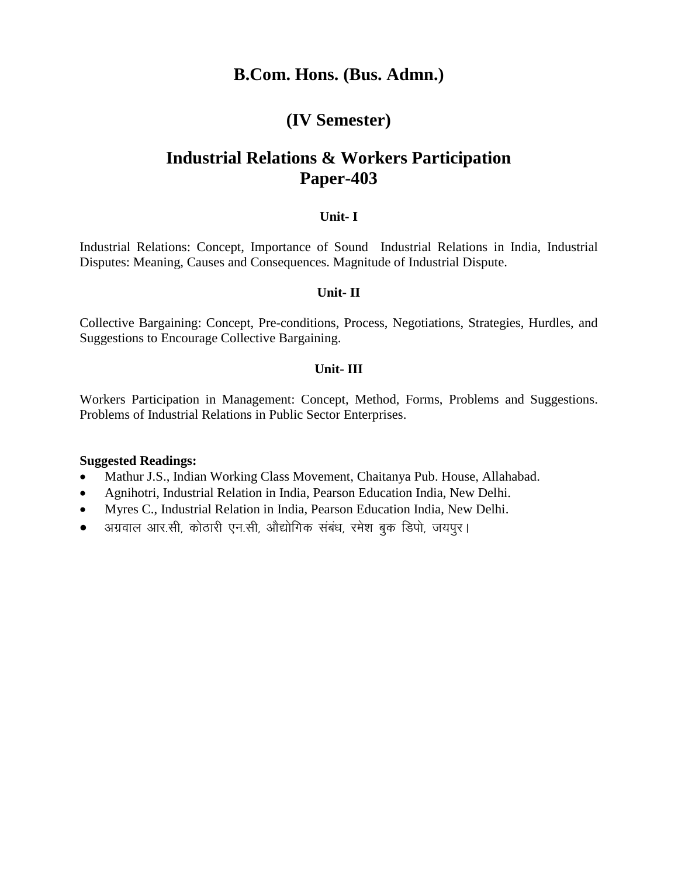# **(IV Semester)**

# **Industrial Relations & Workers Participation Paper-403**

### **Unit- I**

Industrial Relations: Concept, Importance of Sound Industrial Relations in India, Industrial Disputes: Meaning, Causes and Consequences. Magnitude of Industrial Dispute.

### **Unit- II**

Collective Bargaining: Concept, Pre-conditions, Process, Negotiations, Strategies, Hurdles, and Suggestions to Encourage Collective Bargaining.

### **Unit- III**

Workers Participation in Management: Concept, Method, Forms, Problems and Suggestions. Problems of Industrial Relations in Public Sector Enterprises.

- Mathur J.S., Indian Working Class Movement, Chaitanya Pub. House, Allahabad.
- Agnihotri, Industrial Relation in India, Pearson Education India, New Delhi.
- Myres C., Industrial Relation in India, Pearson Education India, New Delhi.
- अग्रवाल आर.सी, कोठारी एन.सी, औद्योगिक संबंध, रमेश बुक डिपो, जयपुर।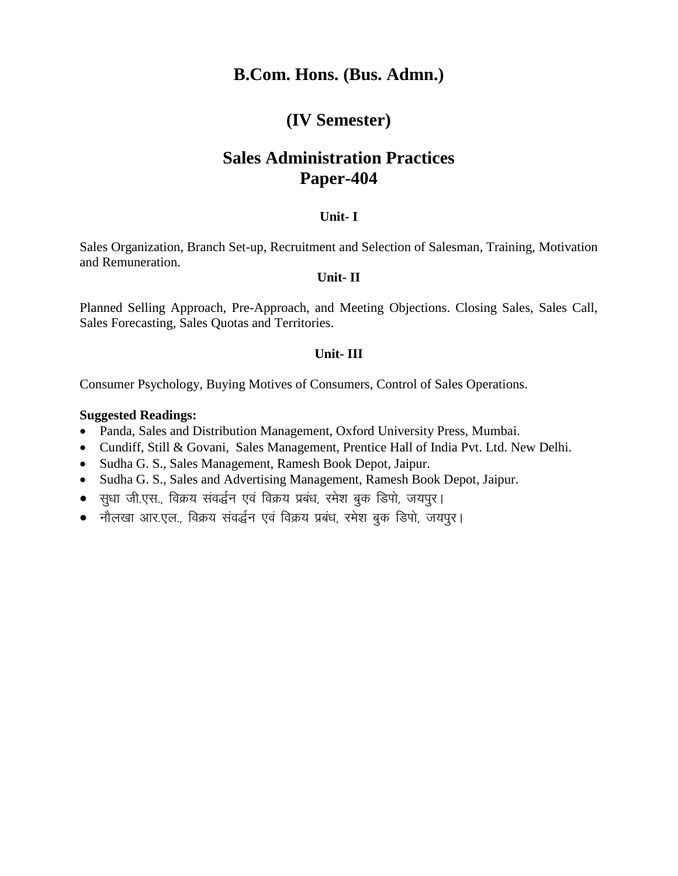## **(IV Semester)**

# **Sales Administration Practices Paper-404**

### **Unit- I**

Sales Organization, Branch Set-up, Recruitment and Selection of Salesman, Training, Motivation and Remuneration.

### **Unit- II**

Planned Selling Approach, Pre-Approach, and Meeting Objections. Closing Sales, Sales Call, Sales Forecasting, Sales Quotas and Territories.

### **Unit- III**

Consumer Psychology, Buying Motives of Consumers, Control of Sales Operations.

- Panda, Sales and Distribution Management, Oxford University Press, Mumbai.
- Cundiff, Still & Govani, Sales Management, Prentice Hall of India Pvt. Ltd. New Delhi.
- Sudha G. S., Sales Management, Ramesh Book Depot, Jaipur.
- Sudha G. S., Sales and Advertising Management, Ramesh Book Depot, Jaipur.
- सुधा जी.एस., विक्रय संवर्द्धन एवं विक्रय प्रबंध, रमेश बुक डिपो, जयपुर।
- नौलखा आर.एल., विक्रय संवर्द्धन एवं विक्रय प्रबंध, रमेश बुक डिपो, जयपूर।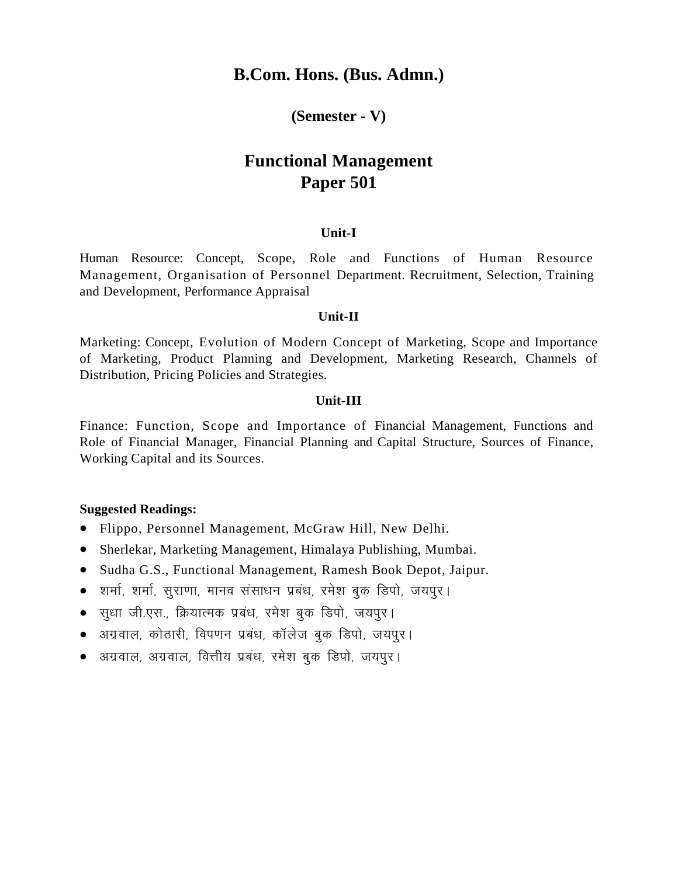### **(Semester - V)**

# **Functional Management Paper 501**

### **Unit-I**

Human Resource: Concept, Scope, Role and Functions of Human Resource Management, Organisation of Personnel Department. Recruitment, Selection, Training and Development, Performance Appraisal

#### **Unit-II**

Marketing: Concept, Evolution of Modern Concept of Marketing, Scope and Importance of Marketing, Product Planning and Development, Marketing Research, Channels of Distribution, Pricing Policies and Strategies.

### **Unit-III**

Finance: Function, Scope and Importance of Financial Management, Functions and Role of Financial Manager, Financial Planning and Capital Structure, Sources of Finance, Working Capital and its Sources.

- Flippo, Personnel Management, McGraw Hill, New Delhi.
- Sherlekar, Marketing Management, Himalaya Publishing, Mumbai.
- Sudha G.S., Functional Management, Ramesh Book Depot, Jaipur.
- $\bullet$  ) शर्मा, शर्मा, सुराणा, मानव संसाधन प्रबंध, रमेश बुक डिपो, जयपुर ।
- सुधा जी.एस., क्रियात्मक प्रबंध, रमेश बुक डिपो, जयपुर।
- अग्रवाल, कोठारी, विपणन प्रबंध, कॉलेज बुक डिपो, जयपुर।
- अग्रवाल, अग्रवाल, वित्तीय प्रबंध, रमेश बुक डिपो, जयपुर।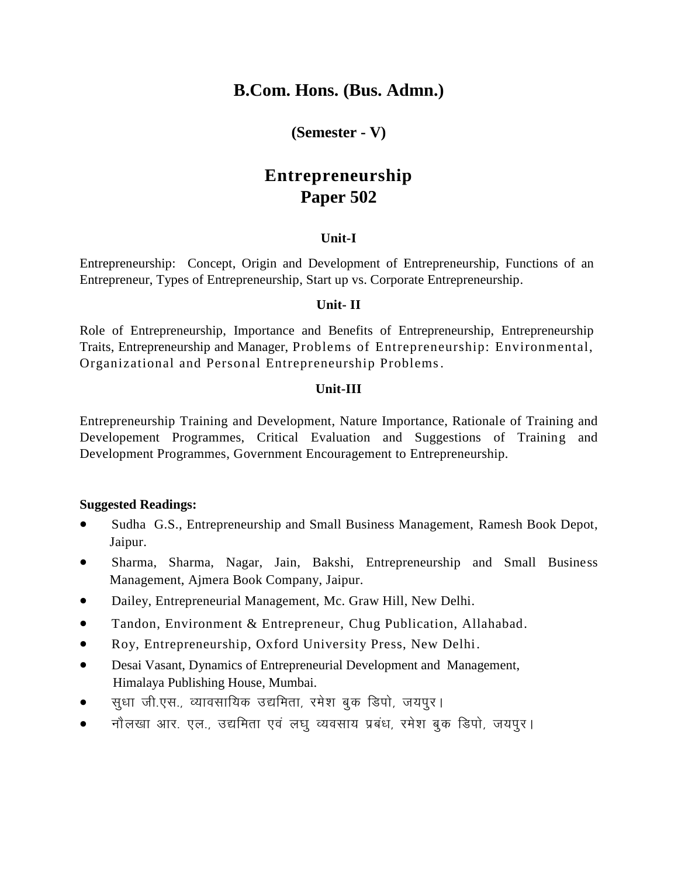### **(Semester - V)**

# **Entrepreneurship Paper 502**

### **Unit-I**

Entrepreneurship: Concept, Origin and Development of Entrepreneurship, Functions of an Entrepreneur, Types of Entrepreneurship, Start up vs. Corporate Entrepreneurship.

### **Unit- II**

Role of Entrepreneurship, Importance and Benefits of Entrepreneurship, Entrepreneurship Traits, Entrepreneurship and Manager, Problems of Entrepreneurship: Environmental, Organizational and Personal Entrepreneurship Problems.

### **Unit-III**

Entrepreneurship Training and Development, Nature Importance, Rationale of Training and Developement Programmes, Critical Evaluation and Suggestions of Training and Development Programmes, Government Encouragement to Entrepreneurship.

- Sudha G.S., Entrepreneurship and Small Business Management, Ramesh Book Depot, Jaipur.
- Sharma, Sharma, Nagar, Jain, Bakshi, Entrepreneurship and Small Business Management, Ajmera Book Company, Jaipur.
- Dailey, Entrepreneurial Management, Mc. Graw Hill, New Delhi.
- Tandon, Environment & Entrepreneur, Chug Publication, Allahabad.
- Roy, Entrepreneurship, Oxford University Press, New Delhi.
- Desai Vasant, Dynamics of Entrepreneurial Development and Management, Himalaya Publishing House, Mumbai.
- $\bullet$  सुधा जी.एस., व्यावसायिक उद्यमिता, रमेश बुक डिपो, जयपुर।
- नौलखा आर. एल., उद्यमिता एवं लघु व्यवसाय प्रबंध, रमेश बुक डिपो, जयपुर।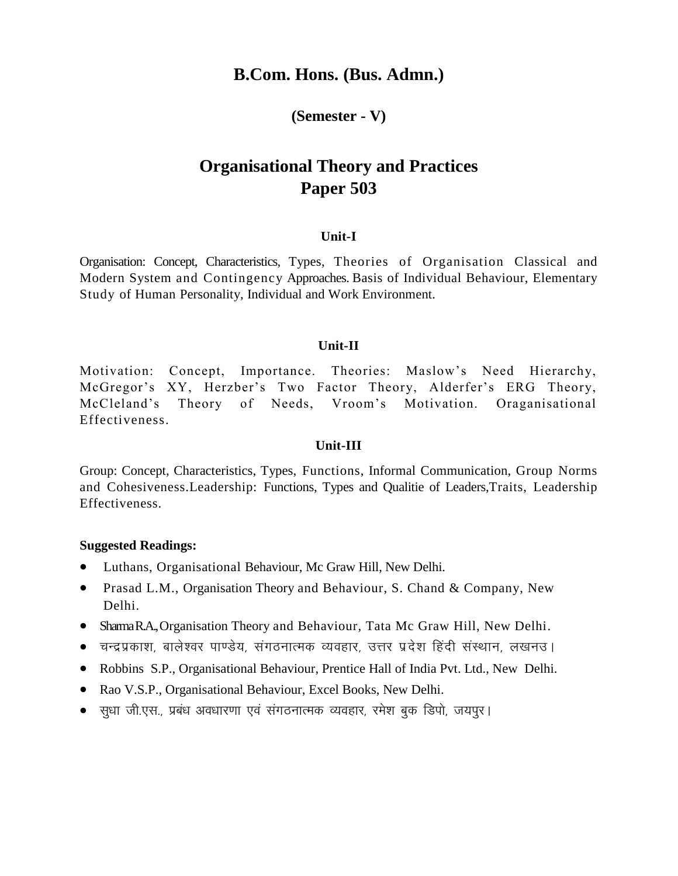### **(Semester - V)**

# **Organisational Theory and Practices Paper 503**

### **Unit-I**

Organisation: Concept, Characteristics, Types, Theories of Organisation Classical and Modern System and Contingency Approaches. Basis of Individual Behaviour, Elementary Study of Human Personality, Individual and Work Environment.

### **Unit-II**

Motivation: Concept, Importance. Theories: Maslow's Need Hierarchy, McGregor's XY, Herzber's Two Factor Theory, Alderfer's ERG Theory, McCleland's Theory of Needs, Vroom's Motivation. Oraganisational Effectiveness.

### **Unit-III**

Group: Concept, Characteristics, Types, Functions, Informal Communication, Group Norms and Cohesiveness.Leadership: Functions, Types and Qualitie of Leaders,Traits, Leadership Effectiveness.

- Luthans, Organisational Behaviour, Mc Graw Hill, New Delhi.
- Prasad L.M., Organisation Theory and Behaviour, S. Chand & Company, New Delhi.
- Shama R.A., Organisation Theory and Behaviour, Tata Mc Graw Hill, New Delhi.
- चन्द्रप्रकाश, बालेश्वर पाण्डेय, संगठनात्मक व्यवहार, उत्तर प्रदेश हिंदी संस्थान, लखनउ।
- Robbins S.P., Organisational Behaviour, Prentice Hall of India Pvt. Ltd., New Delhi.
- Rao V.S.P., Organisational Behaviour, Excel Books, New Delhi.
- सुधा जी.एस., प्रबंध अवधारणा एवं संगठनात्मक व्यवहार, रमेश बुक डिपो, जयपूर।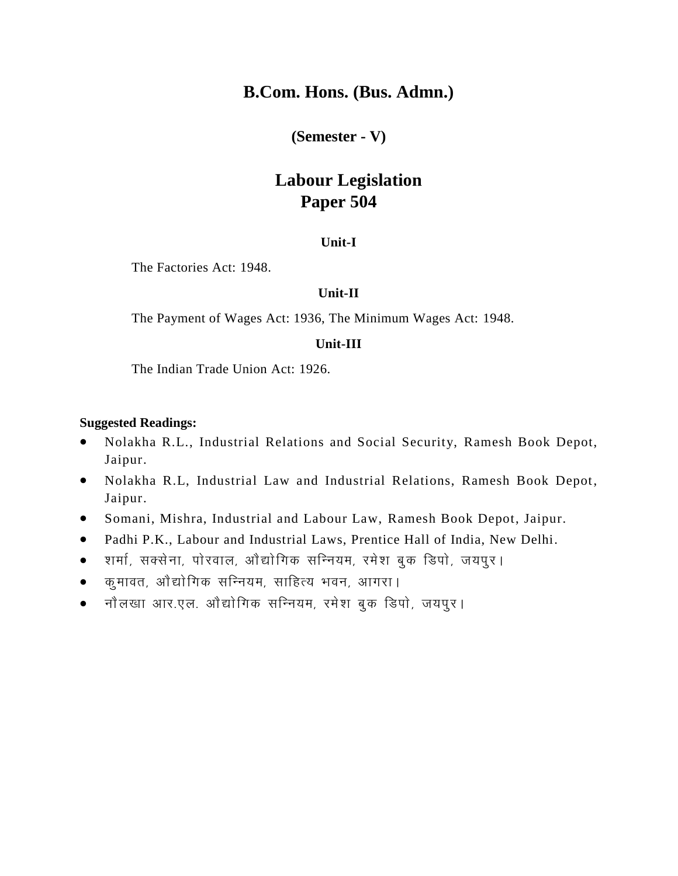**(Semester - V)**

# **Labour Legislation Paper 504**

### **Unit-I**

The Factories Act: 1948.

### **Unit-II**

The Payment of Wages Act: 1936, The Minimum Wages Act: 1948.

### **Unit-III**

The Indian Trade Union Act: 1926.

- Nolakha R.L., Industrial Relations and Social Security, Ramesh Book Depot, Jaipur.
- Nolakha R.L, Industrial Law and Industrial Relations, Ramesh Book Depot, Jaipur.
- Somani, Mishra, Industrial and Labour Law, Ramesh Book Depot, Jaipur.
- Padhi P.K., Labour and Industrial Laws, Prentice Hall of India, New Delhi.
- शर्मा, सक्सेना, पोरवाल, ओद्योगिक सन्नियम, रमेश बुक डिपो, जयपुर।
- कुमावत, ओद्योगिक सन्नियम, साहित्य भवन, आगरा।
- नौलखा आर.एल. ओंद्योगिक सन्नियम, रमेश बुक डिपो, जयपुर।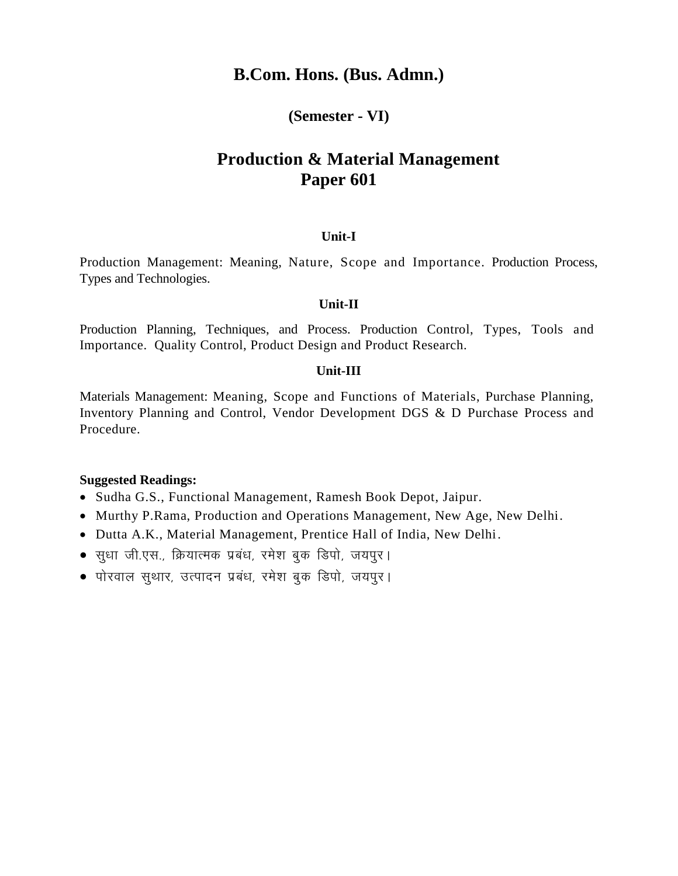### **(Semester - VI)**

# **Production & Material Management Paper 601**

### **Unit-I**

Production Management: Meaning, Nature, Scope and Importance. Production Process, Types and Technologies.

#### **Unit-II**

Production Planning, Techniques, and Process. Production Control, Types, Tools and Importance. Quality Control, Product Design and Product Research.

### **Unit-III**

Materials Management: Meaning, Scope and Functions of Materials, Purchase Planning, Inventory Planning and Control, Vendor Development DGS & D Purchase Process and Procedure.

- Sudha G.S., Functional Management, Ramesh Book Depot, Jaipur.
- Murthy P.Rama, Production and Operations Management, New Age, New Delhi.
- Dutta A.K., Material Management, Prentice Hall of India, New Delhi.
- सुधा जी.एस., क्रियात्मक प्रबंध, रमेश बुक डिपो, जयपुर।
- पोरवाल सुथार, उत्पादन प्रबंध, रमेश बुक डिपो, जयपुर।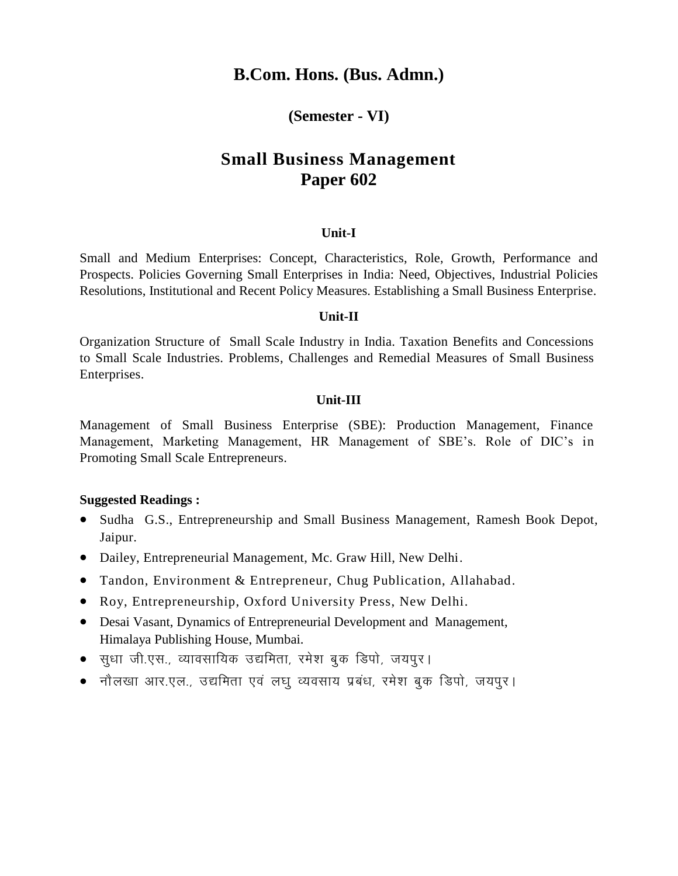### **(Semester - VI)**

# **Small Business Management Paper 602**

### **Unit-I**

Small and Medium Enterprises: Concept, Characteristics, Role, Growth, Performance and Prospects. Policies Governing Small Enterprises in India: Need, Objectives, Industrial Policies Resolutions, Institutional and Recent Policy Measures. Establishing a Small Business Enterprise.

#### **Unit-II**

Organization Structure of Small Scale Industry in India. Taxation Benefits and Concessions to Small Scale Industries. Problems, Challenges and Remedial Measures of Small Business Enterprises.

#### **Unit-III**

Management of Small Business Enterprise (SBE): Production Management, Finance Management, Marketing Management, HR Management of SBE's. Role of DIC's in Promoting Small Scale Entrepreneurs.

- Sudha G.S., Entrepreneurship and Small Business Management, Ramesh Book Depot, Jaipur.
- Dailey, Entrepreneurial Management, Mc. Graw Hill, New Delhi.
- Tandon, Environment & Entrepreneur, Chug Publication, Allahabad.
- Roy, Entrepreneurship, Oxford University Press, New Delhi.
- Desai Vasant, Dynamics of Entrepreneurial Development and Management, Himalaya Publishing House, Mumbai.
- सधा जी.एस., व्यावसायिक उद्यमिता, रमेश बुक डिपो, जयपुर।
- नौलखा आर.एल., उद्यमिता एवं लघू व्यवसाय प्रबंध, रमेश बुक डिपो, जयपुर।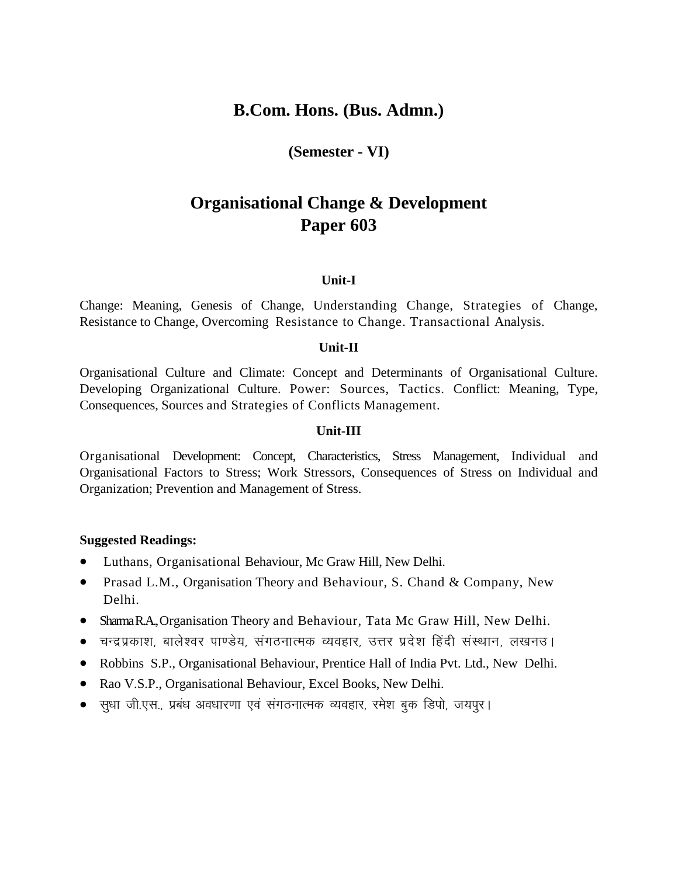**(Semester - VI)**

# **Organisational Change & Development Paper 603**

### **Unit-I**

Change: Meaning, Genesis of Change, Understanding Change, Strategies of Change, Resistance to Change, Overcoming Resistance to Change. Transactional Analysis.

### **Unit-II**

Organisational Culture and Climate: Concept and Determinants of Organisational Culture. Developing Organizational Culture. Power: Sources, Tactics. Conflict: Meaning, Type, Consequences, Sources and Strategies of Conflicts Management.

### **Unit-III**

Organisational Development: Concept, Characteristics, Stress Management, Individual and Organisational Factors to Stress; Work Stressors, Consequences of Stress on Individual and Organization; Prevention and Management of Stress.

- Luthans, Organisational Behaviour, Mc Graw Hill, New Delhi.
- Prasad L.M., Organisation Theory and Behaviour, S. Chand & Company, New Delhi.
- Sharma R.A., Organisation Theory and Behaviour, Tata Mc Graw Hill, New Delhi.
- चन्द्रप्रकाश, बालेश्वर पाण्डेय, संगठनात्मक व्यवहार, उत्तर प्रदेश हिंदी संस्थान, लखनउ।
- Robbins S.P., Organisational Behaviour, Prentice Hall of India Pvt. Ltd., New Delhi.
- Rao V.S.P., Organisational Behaviour, Excel Books, New Delhi.
- सुधा जी.एस., प्रबंध अवधारणा एवं संगठनात्मक व्यवहार, रमेश बुक डिपो, जयपुर।